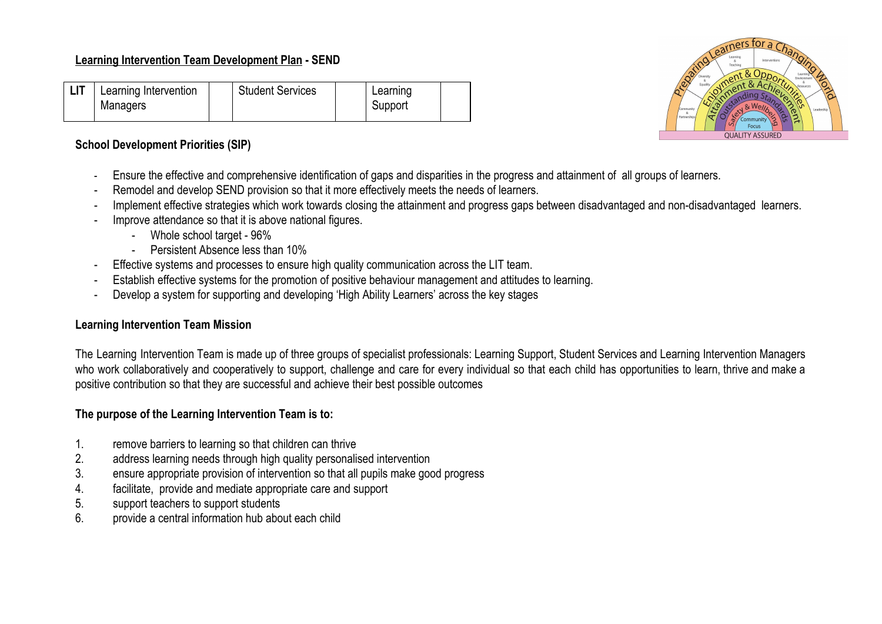## **Learning Intervention Team Development Plan - SEND**

| Learning Intervention<br><b>Managers</b> | <b>Student Services</b> | Learning<br>Support |  |
|------------------------------------------|-------------------------|---------------------|--|
|                                          |                         |                     |  |



## **School Development Priorities (SIP)**

- Ensure the effective and comprehensive identification of gaps and disparities in the progress and attainment of all groups of learners.
- Remodel and develop SEND provision so that it more effectively meets the needs of learners.
- Implement effective strategies which work towards closing the attainment and progress gaps between disadvantaged and non-disadvantaged learners.
- Improve attendance so that it is above national figures.
	- Whole school target 96%
	- Persistent Absence less than 10%
- Effective systems and processes to ensure high quality communication across the LIT team.
- Establish effective systems for the promotion of positive behaviour management and attitudes to learning.
- Develop a system for supporting and developing 'High Ability Learners' across the key stages

## **Learning Intervention Team Mission**

The Learning Intervention Team is made up of three groups of specialist professionals: Learning Support, Student Services and Learning Intervention Managers who work collaboratively and cooperatively to support, challenge and care for every individual so that each child has opportunities to learn, thrive and make a positive contribution so that they are successful and achieve their best possible outcomes

## **The purpose of the Learning Intervention Team is to:**

- 1. remove barriers to learning so that children can thrive
- 2. address learning needs through high quality personalised intervention
- 3. ensure appropriate provision of intervention so that all pupils make good progress
- 4. facilitate, provide and mediate appropriate care and support
- 5. support teachers to support students
- 6. provide a central information hub about each child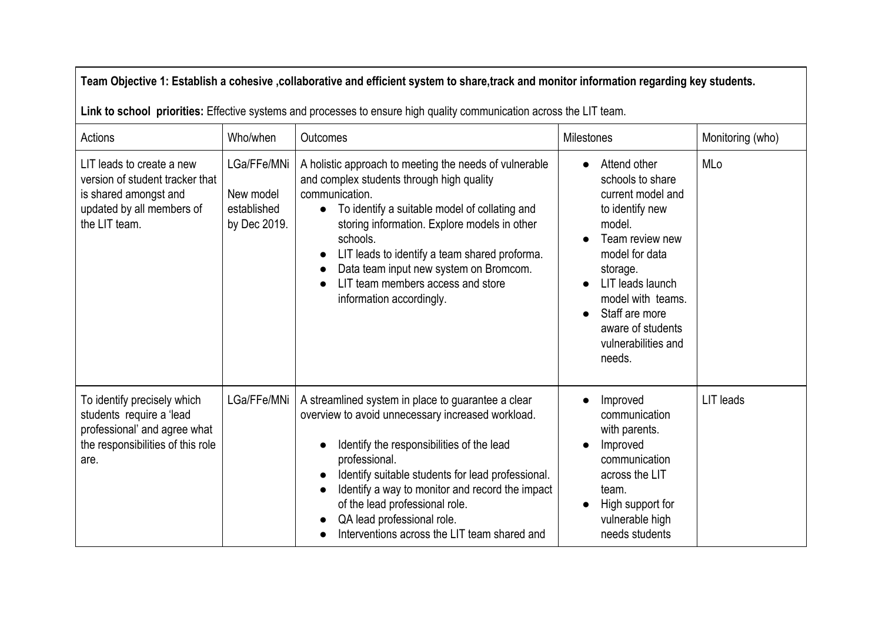| Team Objective 1: Establish a cohesive ,collaborative and efficient system to share,track and monitor information regarding key students.<br>Link to school priorities: Effective systems and processes to ensure high quality communication across the LIT team. |                                                         |                                                                                                                                                                                                                                                                                                                                                                                                             |                                                                                                                                                                                                                                                                   |                  |  |
|-------------------------------------------------------------------------------------------------------------------------------------------------------------------------------------------------------------------------------------------------------------------|---------------------------------------------------------|-------------------------------------------------------------------------------------------------------------------------------------------------------------------------------------------------------------------------------------------------------------------------------------------------------------------------------------------------------------------------------------------------------------|-------------------------------------------------------------------------------------------------------------------------------------------------------------------------------------------------------------------------------------------------------------------|------------------|--|
| Actions<br>Who/when                                                                                                                                                                                                                                               |                                                         | Outcomes                                                                                                                                                                                                                                                                                                                                                                                                    | <b>Milestones</b>                                                                                                                                                                                                                                                 | Monitoring (who) |  |
| LIT leads to create a new<br>version of student tracker that<br>is shared amongst and<br>updated by all members of<br>the LIT team.                                                                                                                               | LGa/FFe/MNi<br>New model<br>established<br>by Dec 2019. | A holistic approach to meeting the needs of vulnerable<br>and complex students through high quality<br>communication.<br>To identify a suitable model of collating and<br>$\bullet$<br>storing information. Explore models in other<br>schools.<br>LIT leads to identify a team shared proforma.<br>Data team input new system on Bromcom.<br>LIT team members access and store<br>information accordingly. | Attend other<br>schools to share<br>current model and<br>to identify new<br>model.<br>Team review new<br>model for data<br>storage.<br>LIT leads launch<br>model with teams.<br>Staff are more<br>$\bullet$<br>aware of students<br>vulnerabilities and<br>needs. | MLo              |  |
| To identify precisely which<br>students require a 'lead<br>professional' and agree what<br>the responsibilities of this role<br>are.                                                                                                                              | LGa/FFe/MNi                                             | A streamlined system in place to guarantee a clear<br>overview to avoid unnecessary increased workload.<br>Identify the responsibilities of the lead<br>professional.<br>Identify suitable students for lead professional.<br>Identify a way to monitor and record the impact<br>of the lead professional role.<br>QA lead professional role.<br>Interventions across the LIT team shared and               | Improved<br>communication<br>with parents.<br>Improved<br>communication<br>across the LIT<br>team.<br>High support for<br>vulnerable high<br>needs students                                                                                                       | <b>LIT</b> leads |  |

 $\Gamma$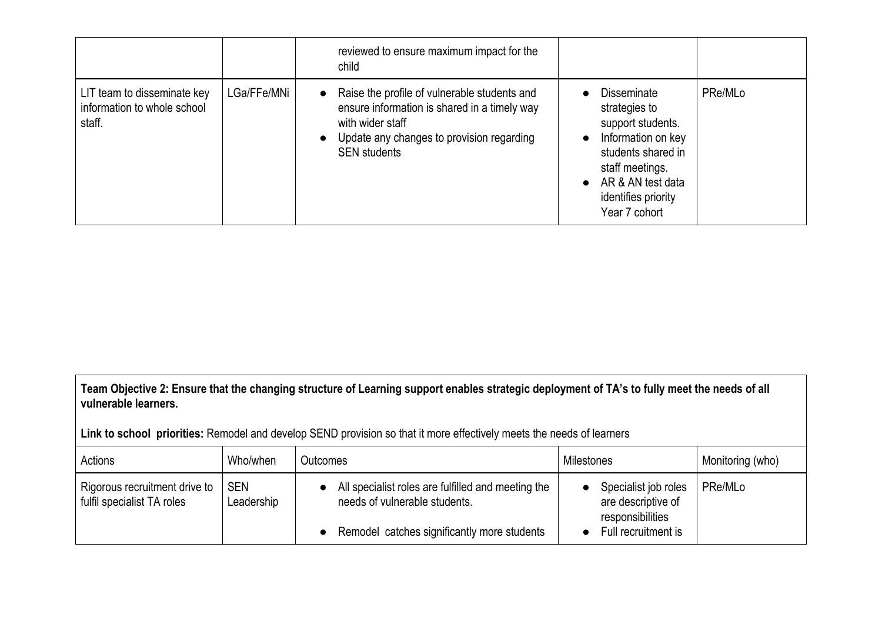|                                                                      |             | reviewed to ensure maximum impact for the<br>child                                                                                                                                                |                                                                                                                                                                                      |         |
|----------------------------------------------------------------------|-------------|---------------------------------------------------------------------------------------------------------------------------------------------------------------------------------------------------|--------------------------------------------------------------------------------------------------------------------------------------------------------------------------------------|---------|
| LIT team to disseminate key<br>information to whole school<br>staff. | LGa/FFe/MNi | Raise the profile of vulnerable students and<br>$\bullet$<br>ensure information is shared in a timely way<br>with wider staff<br>Update any changes to provision regarding<br><b>SEN</b> students | <b>Disseminate</b><br>strategies to<br>support students.<br>Information on key<br>students shared in<br>staff meetings.<br>AR & AN test data<br>identifies priority<br>Year 7 cohort | PRe/MLo |

**Team Objective 2: Ensure that the changing structure of Learning support enables strategic deployment of TA's to fully meet the needs of all vulnerable learners.**

**Link to school priorities:** Remodel and develop SEND provision so that it more effectively meets the needs of learners

| Actions                                                     | Who/when                 | Outcomes                                                                                                                           | Milestones                                                                            | Monitoring (who) |
|-------------------------------------------------------------|--------------------------|------------------------------------------------------------------------------------------------------------------------------------|---------------------------------------------------------------------------------------|------------------|
| Rigorous recruitment drive to<br>fulfil specialist TA roles | <b>SEN</b><br>Leadership | All specialist roles are fulfilled and meeting the<br>needs of vulnerable students.<br>Remodel catches significantly more students | Specialist job roles<br>are descriptive of<br>responsibilities<br>Full recruitment is | PRe/MLo          |